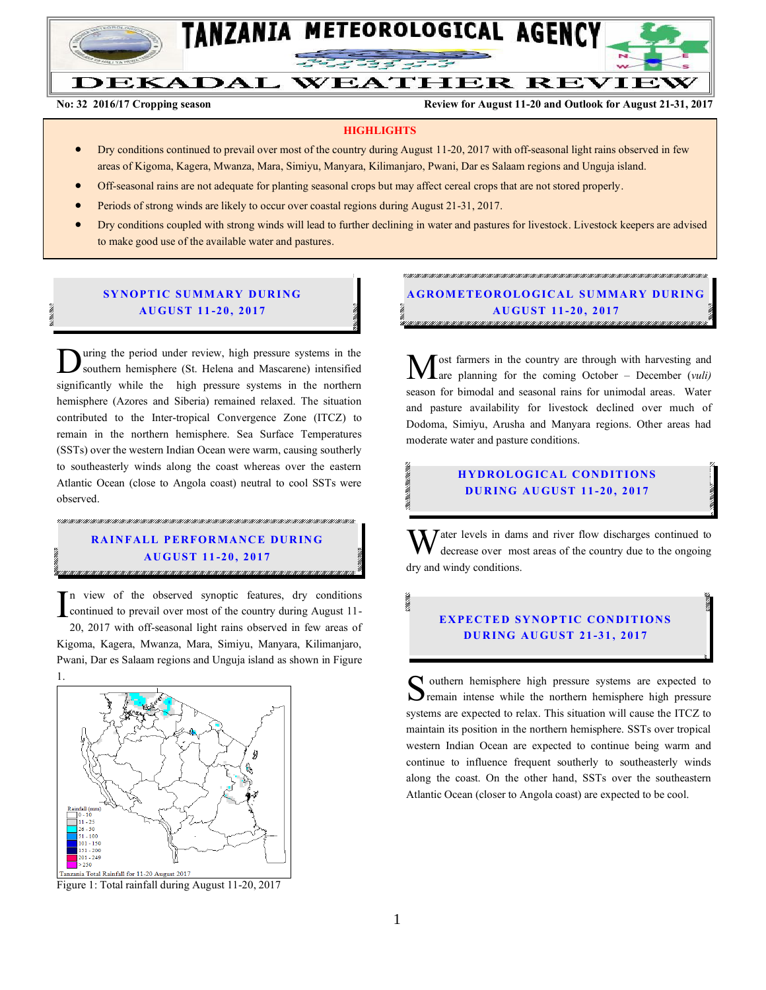

# DEKADAL WEATHER REVIEW

**No: 32 2016/17 Cropping season Review for August 11-20 and Outlook for August 21-31, 2017**

#### **HIGHLIGHTS**

- Dry conditions continued to prevail over most of the country during August 11-20, 2017 with off-seasonal light rains observed in few areas of Kigoma, Kagera, Mwanza, Mara, Simiyu, Manyara, Kilimanjaro, Pwani, Dar es Salaam regions and Unguja island.
- Off-seasonal rains are not adequate for planting seasonal crops but may affect cereal crops that are not stored properly.
- Periods of strong winds are likely to occur over coastal regions during August 21-31, 2017.
- Dry conditions coupled with strong winds will lead to further declining in water and pastures for livestock. Livestock keepers are advised to make good use of the available water and pastures.

## **SYNOPTIC SUMMARY DURING AU GUST 11 -20 , 2017**

uring the period under review, high pressure systems in the southern hemisphere (St. Helena and Mascarene) intensified **Solution** in the period under review, high pressure systems in the southern hemisphere (St. Helena and Mascarene) intensified significantly while the high pressure systems in the northern hemisphere (Azores and Siberia) remained relaxed. The situation contributed to the Inter-tropical Convergence Zone (ITCZ) to remain in the northern hemisphere. Sea Surface Temperatures (SSTs) over the western Indian Ocean were warm, causing southerly to southeasterly winds along the coast whereas over the eastern Atlantic Ocean (close to Angola coast) neutral to cool SSTs were observed.

## **RAINFALL PERFORMANCE DURING AU GUST 11 -20 , 2017**

n view of the observed synoptic features, dry conditions continued to prevail over most of the country during August 11- 20, 2017 with off-seasonal light rains observed in few areas of Kigoma, Kagera, Mwanza, Mara, Simiyu, Manyara, Kilimanjaro, Pwani, Dar es Salaam regions and Unguja island as shown in Figure 1. I



" וא האראה האראה את האראה האראה את האראה האראה האראה האראה את האראה את האראה את אראה את אראה איראה איראה האראה **A GROM ETEOR OLO GICAL SU MMA RY DUR IN G AU GUST 11 -20 , 2017**

ost farmers in the country are through with harvesting and are planning for the coming October – December (*vuli)*  **M** ost farmers in the country are through with harvesting and areas planning for the coming October – December (vuli) season for bimodal and seasonal rains for unimodal areas. Water and pasture availability for livestock declined over much of Dodoma, Simiyu, Arusha and Manyara regions. Other areas had moderate water and pasture conditions.

> **HYDROLOGICAL CONDITIONS DU R ING AU GUST 11 -20 , 2017**

 $\bf{W}$  ater levels in dams and river flow discharges continued to decrease over most areas of the country due to the ongoing decrease over most areas of the country due to the ongoing dry and windy conditions.

## **EXPECTED SYNOPTIC CONDITIONS DU R ING AU GUST 21 -31 , 2017**

Southern hemisphere high pressure systems are expected to remain intense while the northern hemisphere high pressure **P** remain intense while the northern hemisphere high pressure systems are expected to relax. This situation will cause the ITCZ to maintain its position in the northern hemisphere. SSTs over tropical western Indian Ocean are expected to continue being warm and continue to influence frequent southerly to southeasterly winds along the coast. On the other hand, SSTs over the southeastern Atlantic Ocean (closer to Angola coast) are expected to be cool.